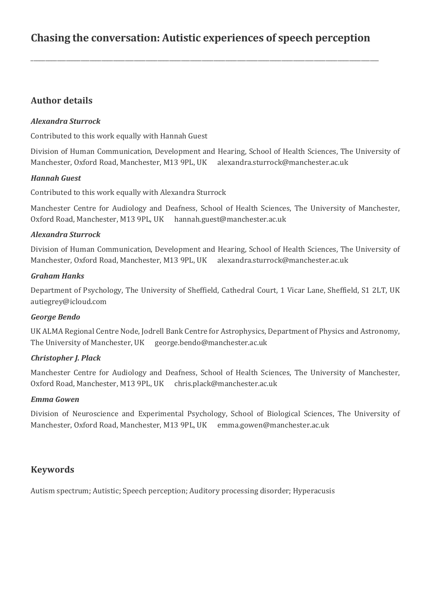# **Chasing the conversation: Autistic experiences of speech perception**

\_\_\_\_\_\_\_\_\_\_\_\_\_\_\_\_\_\_\_\_\_\_\_\_\_\_\_\_\_\_\_\_\_\_\_\_\_\_\_\_\_\_\_\_\_\_\_\_\_\_\_\_\_\_\_\_\_\_\_\_\_\_\_\_\_\_\_\_\_\_\_\_\_\_\_\_\_\_\_\_\_\_\_\_\_\_\_\_\_\_\_\_\_\_\_\_\_\_\_\_\_\_\_\_\_\_\_\_\_\_\_\_\_\_\_\_\_\_

# **Author details**

### *Alexandra Sturrock*

Contributed to this work equally with Hannah Guest

Division of Human Communication, Development and Hearing, School of Health Sciences, The University of Manchester, Oxford Road, Manchester, M13 9PL, UK alexandra.sturrock@manchester.ac.uk

#### *Hannah Guest*

Contributed to this work equally with Alexandra Sturrock

Manchester Centre for Audiology and Deafness, School of Health Sciences, The University of Manchester, Oxford Road, Manchester, M13 9PL, UK hannah.guest@manchester.ac.uk

#### *Alexandra Sturrock*

Division of Human Communication, Development and Hearing, School of Health Sciences, The University of Manchester, Oxford Road, Manchester, M13 9PL, UK alexandra.sturrock@manchester.ac.uk

#### *Graham Hanks*

Department of Psychology, The University of Sheffield, Cathedral Court, 1 Vicar Lane, Sheffield, S1 2LT, UK [autiegrey@icloud.com](mailto:autiegrey@icloud.com)

#### *George Bendo*

UK ALMA Regional Centre Node, Jodrell Bank Centre for Astrophysics, Department of Physics and Astronomy, The University of Manchester, UK george.bendo@manchester.ac.uk

#### *Christopher J. Plack*

Manchester Centre for Audiology and Deafness, School of Health Sciences, The University of Manchester, Oxford Road, Manchester, M13 9PL, UK chris.plack@manchester.ac.uk

#### *Emma Gowen*

Division of Neuroscience and Experimental Psychology, School of Biological Sciences, The University of Manchester, Oxford Road, Manchester, M13 9PL, UK emma.gowen@manchester.ac.uk

# **Keywords**

Autism spectrum; Autistic; Speech perception; Auditory processing disorder; Hyperacusis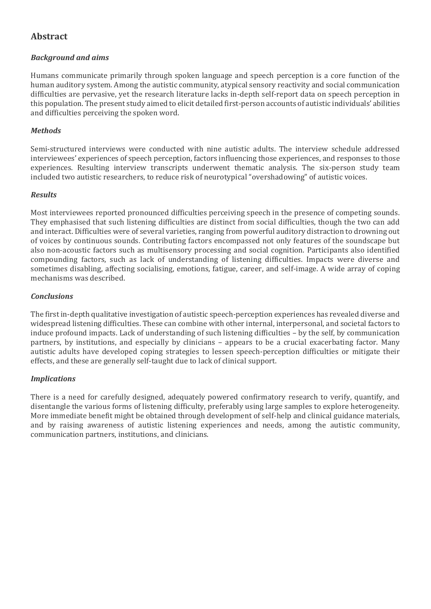# **Abstract**

### *Background and aims*

Humans communicate primarily through spoken language and speech perception is a core function of the human auditory system. Among the autistic community, atypical sensory reactivity and social communication difficulties are pervasive, yet the research literature lacks in-depth self-report data on speech perception in this population. The present study aimed to elicit detailed first-person accounts of autistic individuals' abilities and difficulties perceiving the spoken word.

#### *Methods*

Semi-structured interviews were conducted with nine autistic adults. The interview schedule addressed interviewees' experiences of speech perception, factors influencing those experiences, and responses to those experiences. Resulting interview transcripts underwent thematic analysis. The six-person study team included two autistic researchers, to reduce risk of neurotypical "overshadowing" of autistic voices.

### *Results*

Most interviewees reported pronounced difficulties perceiving speech in the presence of competing sounds. They emphasised that such listening difficulties are distinct from social difficulties, though the two can add and interact. Difficulties were of several varieties, ranging from powerful auditory distraction to drowning out of voices by continuous sounds. Contributing factors encompassed not only features of the soundscape but also non-acoustic factors such as multisensory processing and social cognition. Participants also identified compounding factors, such as lack of understanding of listening difficulties. Impacts were diverse and sometimes disabling, affecting socialising, emotions, fatigue, career, and self-image. A wide array of coping mechanisms was described.

#### *Conclusions*

The first in-depth qualitative investigation of autistic speech-perception experiences has revealed diverse and widespread listening difficulties. These can combine with other internal, interpersonal, and societal factors to induce profound impacts. Lack of understanding of such listening difficulties – by the self, by communication partners, by institutions, and especially by clinicians – appears to be a crucial exacerbating factor. Many autistic adults have developed coping strategies to lessen speech-perception difficulties or mitigate their effects, and these are generally self-taught due to lack of clinical support.

#### *Implications*

There is a need for carefully designed, adequately powered confirmatory research to verify, quantify, and disentangle the various forms of listening difficulty, preferably using large samples to explore heterogeneity. More immediate benefit might be obtained through development of self-help and clinical guidance materials, and by raising awareness of autistic listening experiences and needs, among the autistic community, communication partners, institutions, and clinicians.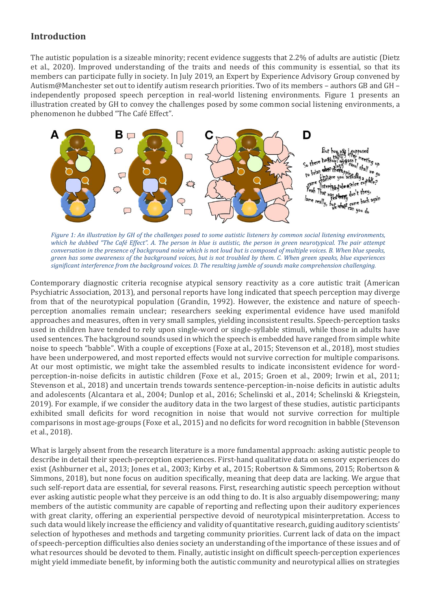# **Introduction**

The autistic population is a sizeable minority; recent evidence suggests that 2.2% of adults are autistic (Dietz et al., 2020). Improved understanding of the traits and needs of this community is essential, so that its members can participate fully in society. In July 2019, an Expert by Experience Advisory Group convened by Autism@Manchester set out to identify autism research priorities. Two of its members – authors GB and GH – independently proposed speech perception in real-world listening environments. Figure 1 presents an illustration created by GH to convey the challenges posed by some common social listening environments, a phenomenon he dubbed "The Café Effect".



*Figure 1: An illustration by GH of the challenges posed to some autistic listeners by common social listening environments, which he dubbed "The Café Effect". A. The person in blue is autistic, the person in green neurotypical. The pair attempt conversation in the presence of background noise which is not loud but is composed of multiple voices. B. When blue speaks, green has some awareness of the background voices, but is not troubled by them. C. When green speaks, blue experiences significant interference from the background voices. D. The resulting jumble of sounds make comprehension challenging.*

Contemporary diagnostic criteria recognise atypical sensory reactivity as a core autistic trait (American Psychiatric Association, 2013), and personal reports have long indicated that speech perception may diverge from that of the neurotypical population (Grandin, 1992). However, the existence and nature of speechperception anomalies remain unclear; researchers seeking experimental evidence have used manifold approaches and measures, often in very small samples, yielding inconsistent results. Speech-perception tasks used in children have tended to rely upon single-word or single-syllable stimuli, while those in adults have used sentences. The background sounds used in which the speech is embedded have ranged from simple white noise to speech "babble". With a couple of exceptions (Foxe at al., 2015; Stevenson et al., 2018), most studies have been underpowered, and most reported effects would not survive correction for multiple comparisons. At our most optimistic, we might take the assembled results to indicate inconsistent evidence for wordperception-in-noise deficits in autistic children (Foxe et al., 2015; Groen et al., 2009; Irwin et al., 2011; Stevenson et al., 2018) and uncertain trends towards sentence-perception-in-noise deficits in autistic adults and adolescents (Alcantara et al., 2004; Dunlop et al., 2016; Schelinski et al., 2014; Schelinski & Kriegstein, 2019). For example, if we consider the auditory data in the two largest of these studies, autistic participants exhibited small deficits for word recognition in noise that would not survive correction for multiple comparisons in most age-groups (Foxe et al., 2015) and no deficits for word recognition in babble (Stevenson et al., 2018).

What is largely absent from the research literature is a more fundamental approach: asking autistic people to describe in detail their speech-perception experiences. First-hand qualitative data on sensory experiences do exist (Ashburner et al., 2013; Jones et al., 2003; Kirby et al., 2015; Robertson & Simmons, 2015; Robertson & Simmons, 2018), but none focus on audition specifically, meaning that deep data are lacking. We argue that such self-report data are essential, for several reasons. First, researching autistic speech perception without ever asking autistic people what they perceive is an odd thing to do. It is also arguably disempowering; many members of the autistic community are capable of reporting and reflecting upon their auditory experiences with great clarity, offering an experiential perspective devoid of neurotypical misinterpretation. Access to such data would likely increase the efficiency and validity of quantitative research, guiding auditory scientists' selection of hypotheses and methods and targeting community priorities. Current lack of data on the impact of speech-perception difficulties also denies society an understanding of the importance of these issues and of what resources should be devoted to them. Finally, autistic insight on difficult speech-perception experiences might yield immediate benefit, by informing both the autistic community and neurotypical allies on strategies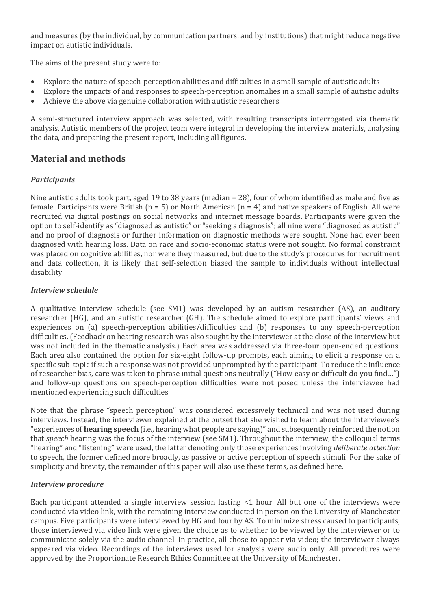and measures (by the individual, by communication partners, and by institutions) that might reduce negative impact on autistic individuals.

The aims of the present study were to:

- Explore the nature of speech-perception abilities and difficulties in a small sample of autistic adults
- Explore the impacts of and responses to speech-perception anomalies in a small sample of autistic adults
- Achieve the above via genuine collaboration with autistic researchers

A semi-structured interview approach was selected, with resulting transcripts interrogated via thematic analysis. Autistic members of the project team were integral in developing the interview materials, analysing the data, and preparing the present report, including all figures.

# **Material and methods**

#### *Participants*

Nine autistic adults took part, aged 19 to 38 years (median = 28), four of whom identified as male and five as female. Participants were British ( $n = 5$ ) or North American ( $n = 4$ ) and native speakers of English. All were recruited via digital postings on social networks and internet message boards. Participants were given the option to self-identify as "diagnosed as autistic" or "seeking a diagnosis"; all nine were "diagnosed as autistic" and no proof of diagnosis or further information on diagnostic methods were sought. None had ever been diagnosed with hearing loss. Data on race and socio-economic status were not sought. No formal constraint was placed on cognitive abilities, nor were they measured, but due to the study's procedures for recruitment and data collection, it is likely that self-selection biased the sample to individuals without intellectual disability.

#### *Interview schedule*

A qualitative interview schedule (see SM1) was developed by an autism researcher (AS), an auditory researcher (HG), and an autistic researcher (GH). The schedule aimed to explore participants' views and experiences on (a) speech-perception abilities/difficulties and (b) responses to any speech-perception difficulties. (Feedback on hearing research was also sought by the interviewer at the close of the interview but was not included in the thematic analysis.) Each area was addressed via three-four open-ended questions. Each area also contained the option for six-eight follow-up prompts, each aiming to elicit a response on a specific sub-topic if such a response was not provided unprompted by the participant. To reduce the influence of researcher bias, care was taken to phrase initial questions neutrally ("How easy or difficult do you find…") and follow-up questions on speech-perception difficulties were not posed unless the interviewee had mentioned experiencing such difficulties.

Note that the phrase "speech perception" was considered excessively technical and was not used during interviews. Instead, the interviewer explained at the outset that she wished to learn about the interviewee's "experiences of **hearing speech** (i.e., hearing what people are saying)" and subsequently reinforced the notion that *speech* hearing was the focus of the interview (see SM1). Throughout the interview, the colloquial terms "hearing" and "listening" were used, the latter denoting only those experiences involving *deliberate attention* to speech, the former defined more broadly, as passive or active perception of speech stimuli. For the sake of simplicity and brevity, the remainder of this paper will also use these terms, as defined here.

#### *Interview procedure*

Each participant attended a single interview session lasting <1 hour. All but one of the interviews were conducted via video link, with the remaining interview conducted in person on the University of Manchester campus. Five participants were interviewed by HG and four by AS. To minimize stress caused to participants, those interviewed via video link were given the choice as to whether to be viewed by the interviewer or to communicate solely via the audio channel. In practice, all chose to appear via video; the interviewer always appeared via video. Recordings of the interviews used for analysis were audio only. All procedures were approved by the Proportionate Research Ethics Committee at the University of Manchester.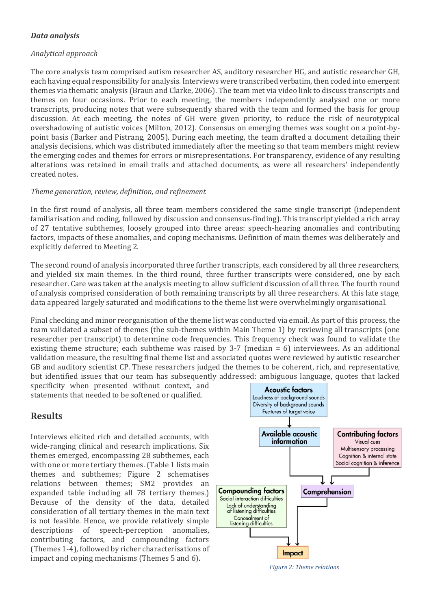#### *Data analysis*

#### *Analytical approach*

The core analysis team comprised autism researcher AS, auditory researcher HG, and autistic researcher GH, each having equal responsibility for analysis. Interviews were transcribed verbatim, then coded into emergent themes via thematic analysis (Braun and Clarke, 2006). The team met via video link to discuss transcripts and themes on four occasions. Prior to each meeting, the members independently analysed one or more transcripts, producing notes that were subsequently shared with the team and formed the basis for group discussion. At each meeting, the notes of GH were given priority, to reduce the risk of neurotypical overshadowing of autistic voices (Milton, 2012). Consensus on emerging themes was sought on a point-bypoint basis (Barker and Pistrang, 2005). During each meeting, the team drafted a document detailing their analysis decisions, which was distributed immediately after the meeting so that team members might review the emerging codes and themes for errors or misrepresentations. For transparency, evidence of any resulting alterations was retained in email trails and attached documents, as were all researchers' independently created notes.

#### *Theme generation, review, definition, and refinement*

In the first round of analysis, all three team members considered the same single transcript (independent familiarisation and coding, followed by discussion and consensus-finding). This transcript yielded a rich array of 27 tentative subthemes, loosely grouped into three areas: speech-hearing anomalies and contributing factors, impacts of these anomalies, and coping mechanisms. Definition of main themes was deliberately and explicitly deferred to Meeting 2.

The second round of analysis incorporated three further transcripts, each considered by all three researchers, and yielded six main themes. In the third round, three further transcripts were considered, one by each researcher. Care was taken at the analysis meeting to allow sufficient discussion of all three. The fourth round of analysis comprised consideration of both remaining transcripts by all three researchers. At this late stage, data appeared largely saturated and modifications to the theme list were overwhelmingly organisational.

Final checking and minor reorganisation of the theme list was conducted via email. As part of this process, the team validated a subset of themes (the sub-themes within Main Theme 1) by reviewing all transcripts (one researcher per transcript) to determine code frequencies. This frequency check was found to validate the existing theme structure; each subtheme was raised by 3-7 (median = 6) interviewees. As an additional validation measure, the resulting final theme list and associated quotes were reviewed by autistic researcher GB and auditory scientist CP. These researchers judged the themes to be coherent, rich, and representative, but identified issues that our team has subsequently addressed: ambiguous language, quotes that lacked

specificity when presented without context, and statements that needed to be softened or qualified.

# **Results**

Interviews elicited rich and detailed accounts, with wide-ranging clinical and research implications. Six themes emerged, encompassing 28 subthemes, each with one or more tertiary themes. (Table 1 lists main themes and subthemes; Figure 2 schematises relations between themes; SM2 provides an expanded table including all 78 tertiary themes.) Because of the density of the data, detailed consideration of all tertiary themes in the main text is not feasible. Hence, we provide relatively simple descriptions of speech-perception anomalies, contributing factors, and compounding factors (Themes 1-4), followed by richer characterisations of impact and coping mechanisms (Themes 5 and 6).



*Figure 2: Theme relations*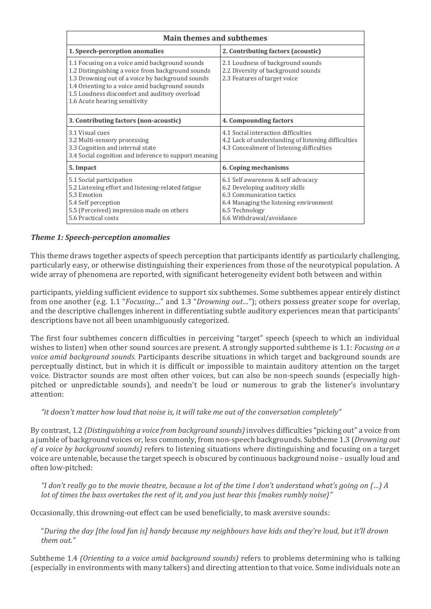| <b>Main themes and subthemes</b>                                                                                                                                                                                                                                                             |                                                                                                                                                                                           |
|----------------------------------------------------------------------------------------------------------------------------------------------------------------------------------------------------------------------------------------------------------------------------------------------|-------------------------------------------------------------------------------------------------------------------------------------------------------------------------------------------|
| 1. Speech-perception anomalies                                                                                                                                                                                                                                                               | 2. Contributing factors (acoustic)                                                                                                                                                        |
| 1.1 Focusing on a voice amid background sounds<br>1.2 Distinguishing a voice from background sounds<br>1.3 Drowning out of a voice by background sounds<br>1.4 Orienting to a voice amid background sounds<br>1.5 Loudness discomfort and auditory overload<br>1.6 Acute hearing sensitivity | 2.1 Loudness of background sounds<br>2.2 Diversity of background sounds<br>2.3 Features of target voice                                                                                   |
| 3. Contributing factors (non-acoustic)                                                                                                                                                                                                                                                       | 4. Compounding factors                                                                                                                                                                    |
| 3.1 Visual cues<br>3.2 Multi-sensory processing<br>3.3 Cognition and internal state<br>3.4 Social cognition and inference to support meaning                                                                                                                                                 | 4.1 Social interaction difficulties<br>4.2 Lack of understanding of listening difficulties<br>4.3 Concealment of listening difficulties                                                   |
| 5. Impact                                                                                                                                                                                                                                                                                    | 6. Coping mechanisms                                                                                                                                                                      |
| 5.1 Social participation<br>5.2 Listening effort and listening-related fatigue<br>5.3 Emotion<br>5.4 Self perception<br>5.5 (Perceived) impression made on others<br>5.6 Practical costs                                                                                                     | 6.1 Self awareness & self advocacy<br>6.2 Developing auditory skills<br>6.3 Communication tactics<br>6.4 Managing the listening environment<br>6.5 Technology<br>6.6 Withdrawal/avoidance |

## *Theme 1: Speech-perception anomalies*

This theme draws together aspects of speech perception that participants identify as particularly challenging, particularly easy, or otherwise distinguishing their experiences from those of the neurotypical population. A wide array of phenomena are reported, with significant heterogeneity evident both between and within

participants, yielding sufficient evidence to support six subthemes. Some subthemes appear entirely distinct from one another (e.g. 1.1 "*Focusing…*" and 1.3 "*Drowning out…*"); others possess greater scope for overlap, and the descriptive challenges inherent in differentiating subtle auditory experiences mean that participants' descriptions have not all been unambiguously categorized.

The first four subthemes concern difficulties in perceiving "target" speech (speech to which an individual wishes to listen) when other sound sources are present. A strongly supported subtheme is 1.1: *Focusing on a voice amid background sounds.* Participants describe situations in which target and background sounds are perceptually distinct, but in which it is difficult or impossible to maintain auditory attention on the target voice. Distractor sounds are most often other voices, but can also be non-speech sounds (especially highpitched or unpredictable sounds), and needn't be loud or numerous to grab the listener's involuntary attention:

*"it doesn't matter how loud that noise is, it will take me out of the conversation completely"*

By contrast, 1.2 *(Distinguishing a voice from background sounds)* involves difficulties "picking out" a voice from a jumble of background voices or, less commonly, from non-speech backgrounds. Subtheme 1.3 (*Drowning out of a voice by background sounds)* refers to listening situations where distinguishing and focusing on a target voice are untenable, because the target speech is obscured by continuous background noise - usually loud and often low-pitched:

*"I don't really go to the movie theatre, because a lot of the time I don't understand what's going on (…) A lot of times the bass overtakes the rest of it, and you just hear this {makes rumbly noise}"*

Occasionally, this drowning-out effect can be used beneficially, to mask aversive sounds:

"*During the day [the loud fan is] handy because my neighbours have kids and they're loud, but it'll drown them out."*

Subtheme 1.4 *(Orienting to a voice amid background sounds)* refers to problems determining who is talking (especially in environments with many talkers) and directing attention to that voice. Some individuals note an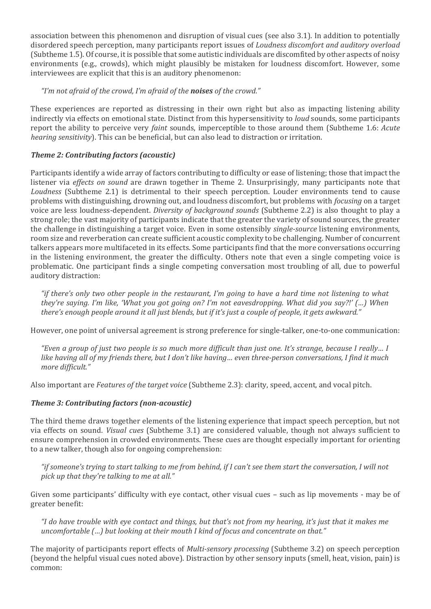association between this phenomenon and disruption of visual cues (see also 3.1). In addition to potentially disordered speech perception, many participants report issues of *Loudness discomfort and auditory overload* (Subtheme 1.5). Of course, it is possible that some autistic individuals are discomfited by other aspects of noisy environments (e.g., crowds), which might plausibly be mistaken for loudness discomfort. However, some interviewees are explicit that this is an auditory phenomenon:

### *"I'm not afraid of the crowd, I'm afraid of the noises of the crowd."*

These experiences are reported as distressing in their own right but also as impacting listening ability indirectly via effects on emotional state. Distinct from this hypersensitivity to *loud* sounds, some participants report the ability to perceive very *faint* sounds, imperceptible to those around them (Subtheme 1.6: *Acute hearing sensitivity*). This can be beneficial, but can also lead to distraction or irritation.

# *Theme 2: Contributing factors (acoustic)*

Participants identify a wide array of factors contributing to difficulty or ease of listening; those that impact the listener via *effects on sound* are drawn together in Theme 2. Unsurprisingly, many participants note that *Loudness* (Subtheme 2.1) is detrimental to their speech perception. Louder environments tend to cause problems with distinguishing, drowning out, and loudness discomfort, but problems with *focusing* on a target voice are less loudness-dependent. *Diversity of background sounds* (Subtheme 2.2) is also thought to play a strong role; the vast majority of participants indicate that the greater the variety of sound sources, the greater the challenge in distinguishing a target voice. Even in some ostensibly *single-source* listening environments, room size and reverberation can create sufficient acoustic complexity to be challenging. Number of concurrent talkers appears more multifaceted in its effects. Some participants find that the more conversations occurring in the listening environment, the greater the difficulty. Others note that even a single competing voice is problematic. One participant finds a single competing conversation most troubling of all, due to powerful auditory distraction:

*"if there's only two other people in the restaurant, I'm going to have a hard time not listening to what they're saying. I'm like, 'What you got going on? I'm not eavesdropping. What did you say?!' (…) When there's enough people around it all just blends, but if it's just a couple of people, it gets awkward."*

However, one point of universal agreement is strong preference for single-talker, one-to-one communication:

*"Even a group of just two people is so much more difficult than just one. It's strange, because I really… I like having all of my friends there, but I don't like having… even three-person conversations, I find it much more difficult."*

Also important are *Features of the target voice* (Subtheme 2.3): clarity, speed, accent, and vocal pitch.

### *Theme 3: Contributing factors (non-acoustic)*

The third theme draws together elements of the listening experience that impact speech perception, but not via effects on sound. *Visual cues* (Subtheme 3.1) are considered valuable, though not always sufficient to ensure comprehension in crowded environments. These cues are thought especially important for orienting to a new talker, though also for ongoing comprehension:

*"if someone's trying to start talking to me from behind, if I can't see them start the conversation, I will not pick up that they're talking to me at all."*

Given some participants' difficulty with eye contact, other visual cues – such as lip movements - may be of greater benefit:

*"I do have trouble with eye contact and things, but that's not from my hearing, it's just that it makes me uncomfortable (…) but looking at their mouth I kind of focus and concentrate on that."*

The majority of participants report effects of *Multi-sensory processing* (Subtheme 3.2) on speech perception (beyond the helpful visual cues noted above). Distraction by other sensory inputs (smell, heat, vision, pain) is common: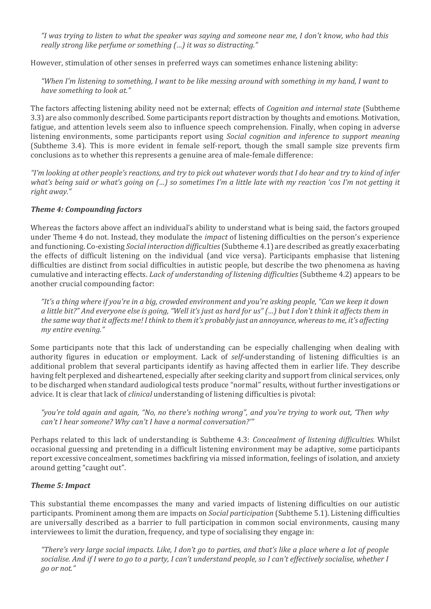*"I was trying to listen to what the speaker was saying and someone near me, I don't know, who had this really strong like perfume or something (…) it was so distracting."*

However, stimulation of other senses in preferred ways can sometimes enhance listening ability:

*"When I'm listening to something, I want to be like messing around with something in my hand, I want to have something to look at."*

The factors affecting listening ability need not be external; effects of *Cognition and internal state* (Subtheme 3.3) are also commonly described. Some participants report distraction by thoughts and emotions. Motivation, fatigue, and attention levels seem also to influence speech comprehension. Finally, when coping in adverse listening environments, some participants report using *Social cognition and inference to support meaning* (Subtheme 3.4). This is more evident in female self-report, though the small sample size prevents firm conclusions as to whether this represents a genuine area of male-female difference:

*"I'm looking at other people's reactions, and try to pick out whatever words that I do hear and try to kind of infer what's being said or what's going on (…) so sometimes I'm a little late with my reaction 'cos I'm not getting it right away."*

#### *Theme 4: Compounding factors*

Whereas the factors above affect an individual's ability to understand what is being said, the factors grouped under Theme 4 do not. Instead, they modulate the *impact* of listening difficulties on the person's experience and functioning. Co-existing *Social interaction difficulties* (Subtheme 4.1) are described as greatly exacerbating the effects of difficult listening on the individual (and vice versa). Participants emphasise that listening difficulties are distinct from social difficulties in autistic people, but describe the two phenomena as having cumulative and interacting effects. *Lack of understanding of listening difficulties* (Subtheme 4.2) appears to be another crucial compounding factor:

*"It's a thing where if you're in a big, crowded environment and you're asking people, "Can we keep it down a little bit?" And everyone else is going, "Well it's just as hard for us" (…) but I don't think it affects them in the same way that it affects me! I think to them it's probably just an annoyance, whereas to me, it's affecting my entire evening."*

Some participants note that this lack of understanding can be especially challenging when dealing with authority figures in education or employment. Lack of *self*-understanding of listening difficulties is an additional problem that several participants identify as having affected them in earlier life. They describe having felt perplexed and disheartened, especially after seeking clarity and support from clinical services, only to be discharged when standard audiological tests produce "normal" results, without further investigations or advice. It is clear that lack of *clinical* understanding of listening difficulties is pivotal:

*"you're told again and again, "No, no there's nothing wrong", and you're trying to work out, 'Then why can't I hear someone? Why can't I have a normal conversation?'"*

Perhaps related to this lack of understanding is Subtheme 4.3: *Concealment of listening difficulties.* Whilst occasional guessing and pretending in a difficult listening environment may be adaptive, some participants report excessive concealment, sometimes backfiring via missed information, feelings of isolation, and anxiety around getting "caught out".

#### *Theme 5: Impact*

This substantial theme encompasses the many and varied impacts of listening difficulties on our autistic participants. Prominent among them are impacts on *Social participation* (Subtheme 5.1). Listening difficulties are universally described as a barrier to full participation in common social environments, causing many interviewees to limit the duration, frequency, and type of socialising they engage in:

*"There's very large social impacts. Like, I don't go to parties, and that's like a place where a lot of people socialise. And if I were to go to a party, I can't understand people, so I can't effectively socialise, whether I go or not."*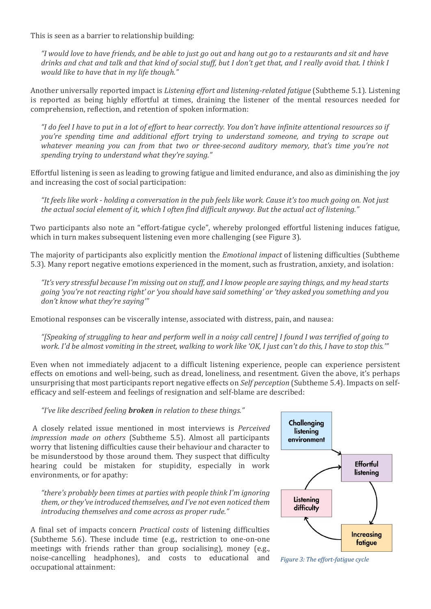This is seen as a barrier to relationship building:

*"I would love to have friends, and be able to just go out and hang out go to a restaurants and sit and have drinks and chat and talk and that kind of social stuff, but I don't get that, and I really avoid that. I think I would like to have that in my life though."*

Another universally reported impact is *Listening effort and listening-related fatigue* (Subtheme 5.1). Listening is reported as being highly effortful at times, draining the listener of the mental resources needed for comprehension, reflection, and retention of spoken information:

*"I do feel I have to put in a lot of effort to hear correctly. You don't have infinite attentional resources so if you're spending time and additional effort trying to understand someone, and trying to scrape out whatever meaning you can from that two or three-second auditory memory, that's time you're not spending trying to understand what they're saying."*

Effortful listening is seen as leading to growing fatigue and limited endurance, and also as diminishing the joy and increasing the cost of social participation:

*"It feels like work - holding a conversation in the pub feels like work. Cause it's too much going on. Not just the actual social element of it, which I often find difficult anyway. But the actual act of listening."*

Two participants also note an "effort-fatigue cycle", whereby prolonged effortful listening induces fatigue, which in turn makes subsequent listening even more challenging (see Figure 3).

The majority of participants also explicitly mention the *Emotional impact* of listening difficulties (Subtheme 5.3). Many report negative emotions experienced in the moment, such as frustration, anxiety, and isolation:

*"It's very stressful because I'm missing out on stuff, and I know people are saying things, and my head starts going 'you're not reacting right' or 'you should have said something' or 'they asked you something and you don't know what they're saying'"*

Emotional responses can be viscerally intense, associated with distress, pain, and nausea:

*"[Speaking of struggling to hear and perform well in a noisy call centre] I found I was terrified of going to work. I'd be almost vomiting in the street, walking to work like 'OK, I just can't do this, I have to stop this.'"*

Even when not immediately adjacent to a difficult listening experience, people can experience persistent effects on emotions and well-being, such as dread, loneliness, and resentment. Given the above, it's perhaps unsurprising that most participants report negative effects on *Self perception* (Subtheme 5.4). Impacts on selfefficacy and self-esteem and feelings of resignation and self-blame are described:

*"I've like described feeling broken in relation to these things."*

A closely related issue mentioned in most interviews is *Perceived impression made on others* (Subtheme 5.5). Almost all participants worry that listening difficulties cause their behaviour and character to be misunderstood by those around them. They suspect that difficulty hearing could be mistaken for stupidity, especially in work environments, or for apathy:

*"there's probably been times at parties with people think I'm ignoring them, or they've introduced themselves, and I've not even noticed them introducing themselves and come across as proper rude."*

A final set of impacts concern *Practical costs* of listening difficulties (Subtheme 5.6). These include time (e.g., restriction to one-on-one meetings with friends rather than group socialising), money (e.g., noise-cancelling headphones), and costs to educational and occupational attainment:



*Figure 3: The effort-fatigue cycle*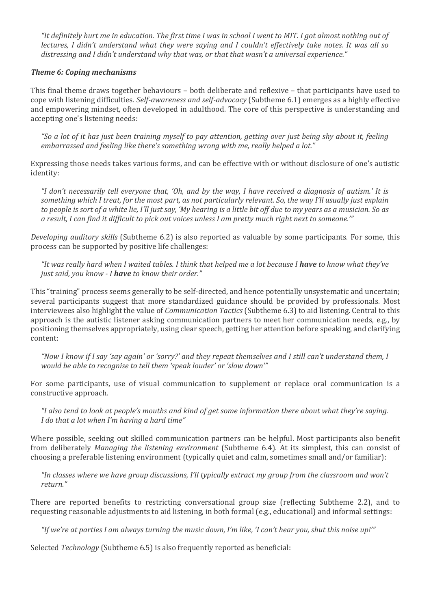*"It definitely hurt me in education. The first time I was in school I went to MIT. I got almost nothing out of lectures, I didn't understand what they were saying and I couldn't effectively take notes. It was all so distressing and I didn't understand why that was, or that that wasn't a universal experience."*

#### *Theme 6: Coping mechanisms*

This final theme draws together behaviours – both deliberate and reflexive – that participants have used to cope with listening difficulties. *Self-awareness and self-advocacy* (Subtheme 6.1) emerges as a highly effective and empowering mindset, often developed in adulthood. The core of this perspective is understanding and accepting one's listening needs:

*"So a lot of it has just been training myself to pay attention, getting over just being shy about it, feeling embarrassed and feeling like there's something wrong with me, really helped a lot."*

Expressing those needs takes various forms, and can be effective with or without disclosure of one's autistic identity:

*"I don't necessarily tell everyone that, 'Oh, and by the way, I have received a diagnosis of autism.' It is something which I treat, for the most part, as not particularly relevant. So, the way I'll usually just explain to people is sort of a white lie, I'll just say, 'My hearing is a little bit off due to my years as a musician. So as a result, I can find it difficult to pick out voices unless I am pretty much right next to someone.'"*

*Developing auditory skills* (Subtheme 6.2) is also reported as valuable by some participants. For some, this process can be supported by positive life challenges:

*"It was really hard when I waited tables. I think that helped me a lot because I have to know what they've just said, you know - I have to know their order."*

This "training" process seems generally to be self-directed, and hence potentially unsystematic and uncertain; several participants suggest that more standardized guidance should be provided by professionals. Most interviewees also highlight the value of *Communication Tactics* (Subtheme 6.3) to aid listening. Central to this approach is the autistic listener asking communication partners to meet her communication needs, e.g., by positioning themselves appropriately, using clear speech, getting her attention before speaking, and clarifying content:

*"Now I know if I say 'say again' or 'sorry?' and they repeat themselves and I still can't understand them, I would be able to recognise to tell them 'speak louder' or 'slow down'"*

For some participants, use of visual communication to supplement or replace oral communication is a constructive approach.

*"I also tend to look at people's mouths and kind of get some information there about what they're saying. I do that a lot when I'm having a hard time"*

Where possible, seeking out skilled communication partners can be helpful. Most participants also benefit from deliberately *Managing the listening environment* (Subtheme 6.4). At its simplest, this can consist of choosing a preferable listening environment (typically quiet and calm, sometimes small and/or familiar):

*"In classes where we have group discussions, I'll typically extract my group from the classroom and won't return."*

There are reported benefits to restricting conversational group size (reflecting Subtheme 2.2), and to requesting reasonable adjustments to aid listening, in both formal (e.g., educational) and informal settings:

*"If we're at parties I am always turning the music down, I'm like, 'I can't hear you, shut this noise up!'"*

Selected *Technology* (Subtheme 6.5) is also frequently reported as beneficial: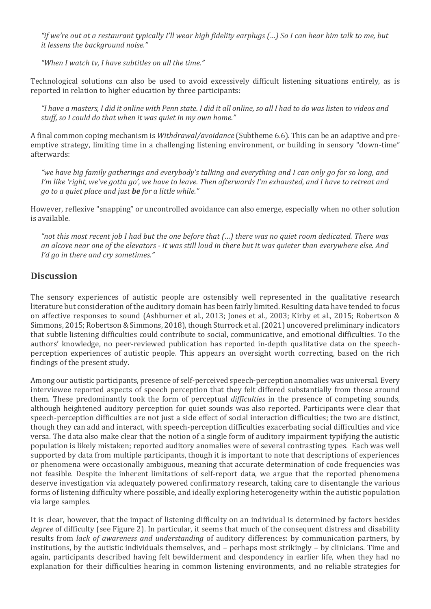*"if we're out at a restaurant typically I'll wear high fidelity earplugs (…) So I can hear him talk to me, but it lessens the background noise."*

*"When I watch tv, I have subtitles on all the time."*

Technological solutions can also be used to avoid excessively difficult listening situations entirely, as is reported in relation to higher education by three participants:

*"I have a masters, I did it online with Penn state. I did it all online, so all I had to do was listen to videos and stuff, so I could do that when it was quiet in my own home."*

A final common coping mechanism is *Withdrawal/avoidance* (Subtheme 6.6). This can be an adaptive and preemptive strategy, limiting time in a challenging listening environment, or building in sensory "down-time" afterwards:

*"we have big family gatherings and everybody's talking and everything and I can only go for so long, and I'm like 'right, we've gotta go', we have to leave. Then afterwards I'm exhausted, and I have to retreat and go to a quiet place and just be for a little while."*

However, reflexive "snapping" or uncontrolled avoidance can also emerge, especially when no other solution is available.

*"not this most recent job I had but the one before that (…) there was no quiet room dedicated. There was an alcove near one of the elevators - it was still loud in there but it was quieter than everywhere else. And I'd go in there and cry sometimes."*

#### **Discussion**

The sensory experiences of autistic people are ostensibly well represented in the qualitative research literature but consideration of the auditory domain has been fairly limited. Resulting data have tended to focus on affective responses to sound (Ashburner et al., 2013; Jones et al., 2003; Kirby et al., 2015; Robertson & Simmons, 2015; Robertson & Simmons, 2018), though Sturrock et al.(2021) uncovered preliminary indicators that subtle listening difficulties could contribute to social, communicative, and emotional difficulties. To the authors' knowledge, no peer-reviewed publication has reported in-depth qualitative data on the speechperception experiences of autistic people. This appears an oversight worth correcting, based on the rich findings of the present study.

Among our autistic participants, presence of self-perceived speech-perception anomalies was universal. Every interviewee reported aspects of speech perception that they felt differed substantially from those around them. These predominantly took the form of perceptual *difficulties* in the presence of competing sounds, although heightened auditory perception for quiet sounds was also reported. Participants were clear that speech-perception difficulties are not just a side effect of social interaction difficulties; the two are distinct, though they can add and interact, with speech-perception difficulties exacerbating social difficulties and vice versa. The data also make clear that the notion of a single form of auditory impairment typifying the autistic population is likely mistaken; reported auditory anomalies were of several contrasting types. Each was well supported by data from multiple participants, though it is important to note that descriptions of experiences or phenomena were occasionally ambiguous, meaning that accurate determination of code frequencies was not feasible. Despite the inherent limitations of self-report data, we argue that the reported phenomena deserve investigation via adequately powered confirmatory research, taking care to disentangle the various forms of listening difficulty where possible, and ideally exploring heterogeneity within the autistic population via large samples.

It is clear, however, that the impact of listening difficulty on an individual is determined by factors besides *degree* of difficulty (see Figure 2). In particular, it seems that much of the consequent distress and disability results from *lack of awareness and understanding* of auditory differences: by communication partners, by institutions, by the autistic individuals themselves, and – perhaps most strikingly – by clinicians. Time and again, participants described having felt bewilderment and despondency in earlier life, when they had no explanation for their difficulties hearing in common listening environments, and no reliable strategies for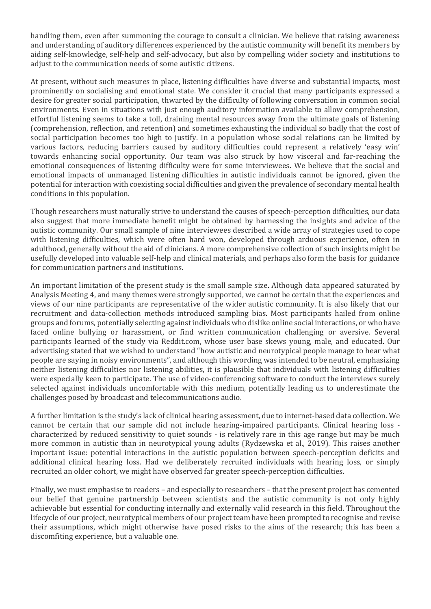handling them, even after summoning the courage to consult a clinician. We believe that raising awareness and understanding of auditory differences experienced by the autistic community will benefit its members by aiding self-knowledge, self-help and self-advocacy, but also by compelling wider society and institutions to adjust to the communication needs of some autistic citizens.

At present, without such measures in place, listening difficulties have diverse and substantial impacts, most prominently on socialising and emotional state. We consider it crucial that many participants expressed a desire for greater social participation, thwarted by the difficulty of following conversation in common social environments. Even in situations with just enough auditory information available to allow comprehension, effortful listening seems to take a toll, draining mental resources away from the ultimate goals of listening (comprehension, reflection, and retention) and sometimes exhausting the individual so badly that the cost of social participation becomes too high to justify. In a population whose social relations can be limited by various factors, reducing barriers caused by auditory difficulties could represent a relatively 'easy win' towards enhancing social opportunity. Our team was also struck by how visceral and far-reaching the emotional consequences of listening difficulty were for some interviewees. We believe that the social and emotional impacts of unmanaged listening difficulties in autistic individuals cannot be ignored, given the potential for interaction with coexisting social difficulties and given the prevalence of secondary mental health conditions in this population.

Though researchers must naturally strive to understand the causes of speech-perception difficulties, our data also suggest that more immediate benefit might be obtained by harnessing the insights and advice of the autistic community. Our small sample of nine interviewees described a wide array of strategies used to cope with listening difficulties, which were often hard won, developed through arduous experience, often in adulthood, generally without the aid of clinicians. A more comprehensive collection of such insights might be usefully developed into valuable self-help and clinical materials, and perhaps also form the basis for guidance for communication partners and institutions.

An important limitation of the present study is the small sample size. Although data appeared saturated by Analysis Meeting 4, and many themes were strongly supported, we cannot be certain that the experiences and views of our nine participants are representative of the wider autistic community. It is also likely that our recruitment and data-collection methods introduced sampling bias. Most participants hailed from online groups and forums, potentially selecting against individuals who dislike online social interactions, or who have faced online bullying or harassment, or find written communication challenging or aversive. Several participants learned of the study via Reddit.com, whose user base skews young, male, and educated. Our advertising stated that we wished to understand "how autistic and neurotypical people manage to hear what people are saying in noisy environments", and although this wording was intended to be neutral, emphasizing neither listening difficulties nor listening abilities, it is plausible that individuals with listening difficulties were especially keen to participate. The use of video-conferencing software to conduct the interviews surely selected against individuals uncomfortable with this medium, potentially leading us to underestimate the challenges posed by broadcast and telecommunications audio.

A further limitation is the study's lack of clinical hearing assessment, due to internet-based data collection. We cannot be certain that our sample did not include hearing-impaired participants. Clinical hearing loss characterized by reduced sensitivity to quiet sounds - is relatively rare in this age range but may be much more common in autistic than in neurotypical young adults (Rydzewska et al., 2019). This raises another important issue: potential interactions in the autistic population between speech-perception deficits and additional clinical hearing loss. Had we deliberately recruited individuals with hearing loss, or simply recruited an older cohort, we might have observed far greater speech-perception difficulties.

Finally, we must emphasise to readers – and especially to researchers – that the present project has cemented our belief that genuine partnership between scientists and the autistic community is not only highly achievable but essential for conducting internally and externally valid research in this field. Throughout the lifecycle of our project, neurotypical members of our project team have been prompted to recognise and revise their assumptions, which might otherwise have posed risks to the aims of the research; this has been a discomfiting experience, but a valuable one.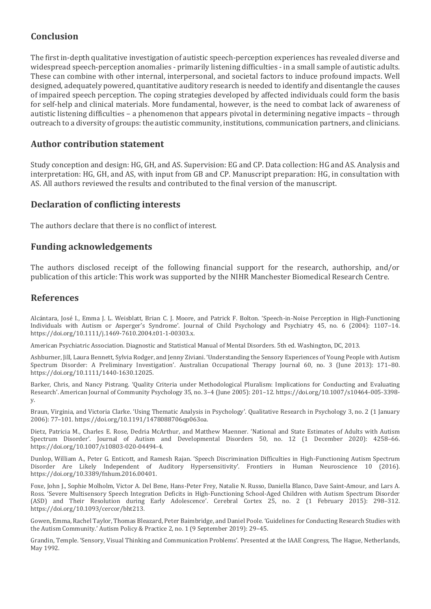# **Conclusion**

The first in-depth qualitative investigation of autistic speech-perception experiences has revealed diverse and widespread speech-perception anomalies - primarily listening difficulties - in a small sample of autistic adults. These can combine with other internal, interpersonal, and societal factors to induce profound impacts. Well designed, adequately powered, quantitative auditory research is needed to identify and disentangle the causes of impaired speech perception. The coping strategies developed by affected individuals could form the basis for self-help and clinical materials. More fundamental, however, is the need to combat lack of awareness of autistic listening difficulties – a phenomenon that appears pivotal in determining negative impacts – through outreach to a diversity of groups: the autistic community, institutions, communication partners, and clinicians.

# **Author contribution statement**

Study conception and design: HG, GH, and AS. Supervision: EG and CP. Data collection: HG and AS. Analysis and interpretation: HG, GH, and AS, with input from GB and CP. Manuscript preparation: HG, in consultation with AS. All authors reviewed the results and contributed to the final version of the manuscript.

## **Declaration of conflicting interests**

The authors declare that there is no conflict of interest.

### **Funding acknowledgements**

The authors disclosed receipt of the following financial support for the research, authorship, and/or publication of this article: This work was supported by the NIHR Manchester Biomedical Research Centre.

### **References**

Alcántara, José I., Emma J. L. Weisblatt, Brian C. J. Moore, and Patrick F. Bolton. 'Speech-in-Noise Perception in High-Functioning Individuals with Autism or Asperger's Syndrome'. Journal of Child Psychology and Psychiatry 45, no. 6 (2004): 1107–14. [https://doi.org/10.1111/j.1469-7610.2004.t01-1-00303.x.](https://doi.org/10.1111/j.1469-7610.2004.t01-1-00303.x)

American Psychiatric Association. Diagnostic and Statistical Manual of Mental Disorders. 5th ed. Washington, DC, 2013.

Ashburner, Jill, Laura Bennett, Sylvia Rodger, and Jenny Ziviani. 'Understanding the Sensory Experiences of Young People with Autism Spectrum Disorder: A Preliminary Investigation'. Australian Occupational Therapy Journal 60, no. 3 (June 2013): 171–80. [https://doi.org/10.1111/1440-1630.12025.](https://doi.org/10.1111/1440-1630.12025)

Barker, Chris, and Nancy Pistrang. 'Quality Criteria under Methodological Pluralism: Implications for Conducting and Evaluating Research'. American Journal of Community Psychology 35, no. 3–4 (June 2005): 201–12[. https://doi.org/10.1007/s10464-005-3398](https://doi.org/10.1007/s10464-005-3398-y) [y.](https://doi.org/10.1007/s10464-005-3398-y)

Braun, Virginia, and Victoria Clarke. 'Using Thematic Analysis in Psychology'. Qualitative Research in Psychology 3, no. 2 (1 January 2006): 77–101[. https://doi.org/10.1191/1478088706qp063oa.](https://doi.org/10.1191/1478088706qp063oa)

Dietz, Patricia M., Charles E. Rose, Dedria McArthur, and Matthew Maenner. 'National and State Estimates of Adults with Autism Spectrum Disorder'. Journal of Autism and Developmental Disorders 50, no. 12 (1 December 2020): 4258–66. [https://doi.org/10.1007/s10803-020-04494-4.](https://doi.org/10.1007/s10803-020-04494-4)

Dunlop, William A., Peter G. Enticott, and Ramesh Rajan. 'Speech Discrimination Difficulties in High-Functioning Autism Spectrum Disorder Are Likely Independent of Auditory Hypersensitivity'. Frontiers in Human Neuroscience 10 (2016). [https://doi.org/10.3389/fnhum.2016.00401.](https://doi.org/10.3389/fnhum.2016.00401)

Foxe, John J., Sophie Molholm, Victor A. Del Bene, Hans-Peter Frey, Natalie N. Russo, Daniella Blanco, Dave Saint-Amour, and Lars A. Ross. 'Severe Multisensory Speech Integration Deficits in High-Functioning School-Aged Children with Autism Spectrum Disorder (ASD) and Their Resolution during Early Adolescence'. Cerebral Cortex 25, no. 2 (1 February 2015): 298–312. [https://doi.org/10.1093/cercor/bht213.](https://doi.org/10.1093/cercor/bht213)

Gowen, Emma, Rachel Taylor, Thomas Bleazard, Peter Baimbridge, and Daniel Poole. 'Guidelines for Conducting Research Studies with the Autism Community.' Autism Policy & Practice 2, no. 1 (9 September 2019): 29–45.

Grandin, Temple. 'Sensory, Visual Thinking and Communication Problems'. Presented at the IAAE Congress, The Hague, Netherlands, May 1992.